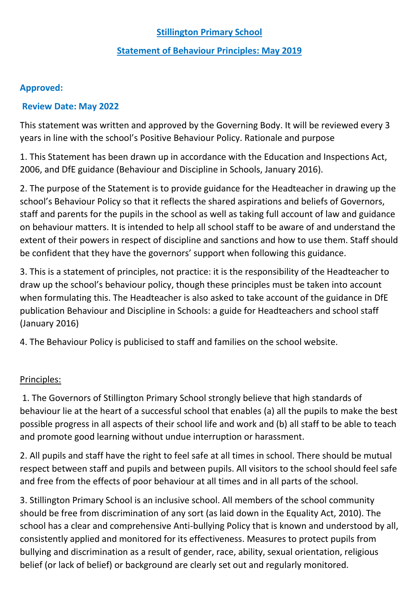# **Stillington Primary School**

#### **Statement of Behaviour Principles: May 2019**

## **Approved:**

#### **Review Date: May 2022**

This statement was written and approved by the Governing Body. It will be reviewed every 3 years in line with the school's Positive Behaviour Policy. Rationale and purpose

1. This Statement has been drawn up in accordance with the Education and Inspections Act, 2006, and DfE guidance (Behaviour and Discipline in Schools, January 2016).

2. The purpose of the Statement is to provide guidance for the Headteacher in drawing up the school's Behaviour Policy so that it reflects the shared aspirations and beliefs of Governors, staff and parents for the pupils in the school as well as taking full account of law and guidance on behaviour matters. It is intended to help all school staff to be aware of and understand the extent of their powers in respect of discipline and sanctions and how to use them. Staff should be confident that they have the governors' support when following this guidance.

3. This is a statement of principles, not practice: it is the responsibility of the Headteacher to draw up the school's behaviour policy, though these principles must be taken into account when formulating this. The Headteacher is also asked to take account of the guidance in DfE publication Behaviour and Discipline in Schools: a guide for Headteachers and school staff (January 2016)

4. The Behaviour Policy is publicised to staff and families on the school website.

## Principles:

1. The Governors of Stillington Primary School strongly believe that high standards of behaviour lie at the heart of a successful school that enables (a) all the pupils to make the best possible progress in all aspects of their school life and work and (b) all staff to be able to teach and promote good learning without undue interruption or harassment.

2. All pupils and staff have the right to feel safe at all times in school. There should be mutual respect between staff and pupils and between pupils. All visitors to the school should feel safe and free from the effects of poor behaviour at all times and in all parts of the school.

3. Stillington Primary School is an inclusive school. All members of the school community should be free from discrimination of any sort (as laid down in the Equality Act, 2010). The school has a clear and comprehensive Anti-bullying Policy that is known and understood by all, consistently applied and monitored for its effectiveness. Measures to protect pupils from bullying and discrimination as a result of gender, race, ability, sexual orientation, religious belief (or lack of belief) or background are clearly set out and regularly monitored.